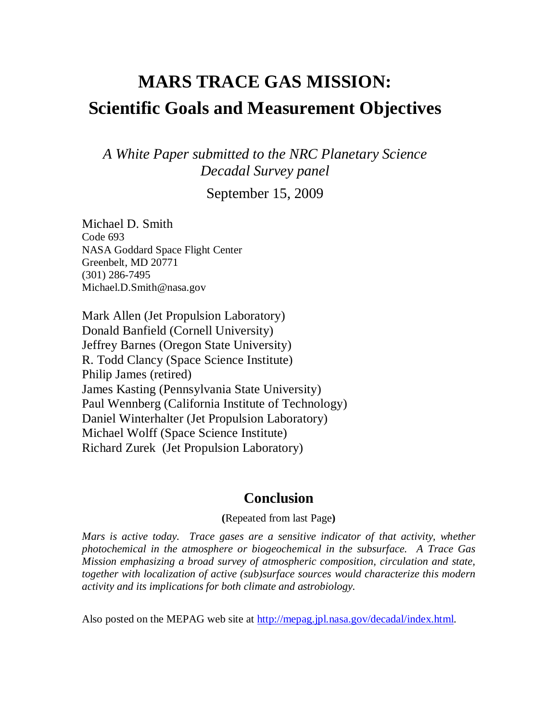# **MARS TRACE GAS MISSION: Scientific Goals and Measurement Objectives**

*A White Paper submitted to the NRC Planetary Science Decadal Survey panel* 

September 15, 2009

Michael D. Smith Code 693 NASA Goddard Space Flight Center Greenbelt, MD 20771 (301) 286-7495 Michael.D.Smith@nasa.gov

Mark Allen (Jet Propulsion Laboratory) Donald Banfield (Cornell University) Jeffrey Barnes (Oregon State University) R. Todd Clancy (Space Science Institute) Philip James (retired) James Kasting (Pennsylvania State University) Paul Wennberg (California Institute of Technology) Daniel Winterhalter (Jet Propulsion Laboratory) Michael Wolff (Space Science Institute) Richard Zurek (Jet Propulsion Laboratory)

# **Conclusion**

**(**Repeated from last Page**)** 

*Mars is active today. Trace gases are a sensitive indicator of that activity, whether photochemical in the atmosphere or biogeochemical in the subsurface. A Trace Gas Mission emphasizing a broad survey of atmospheric composition, circulation and state, together with localization of active (sub)surface sources would characterize this modern activity and its implications for both climate and astrobiology.* 

Also posted on the MEPAG web site at http://mepag.jpl.nasa.gov/decadal/index.html.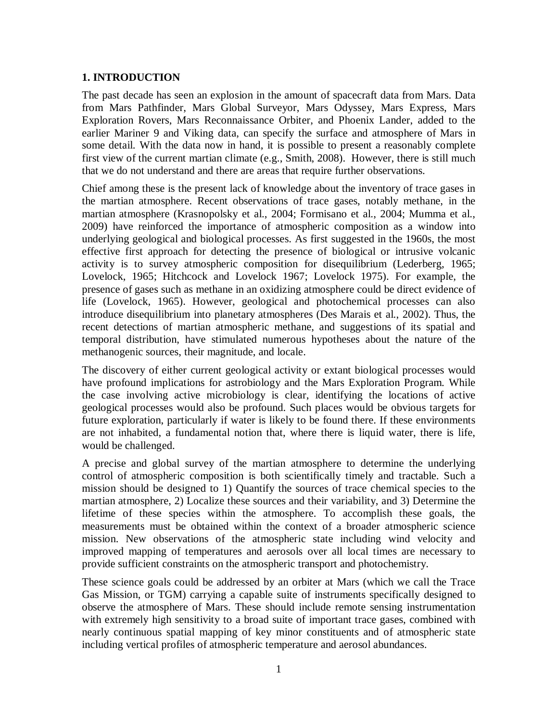## **1. INTRODUCTION**

The past decade has seen an explosion in the amount of spacecraft data from Mars. Data from Mars Pathfinder, Mars Global Surveyor, Mars Odyssey, Mars Express, Mars Exploration Rovers, Mars Reconnaissance Orbiter, and Phoenix Lander, added to the earlier Mariner 9 and Viking data, can specify the surface and atmosphere of Mars in some detail. With the data now in hand, it is possible to present a reasonably complete first view of the current martian climate (e.g., Smith, 2008). However, there is still much that we do not understand and there are areas that require further observations.

Chief among these is the present lack of knowledge about the inventory of trace gases in the martian atmosphere. Recent observations of trace gases, notably methane, in the martian atmosphere (Krasnopolsky et al., 2004; Formisano et al., 2004; Mumma et al., 2009) have reinforced the importance of atmospheric composition as a window into underlying geological and biological processes. As first suggested in the 1960s, the most effective first approach for detecting the presence of biological or intrusive volcanic activity is to survey atmospheric composition for disequilibrium (Lederberg, 1965; Lovelock, 1965; Hitchcock and Lovelock 1967; Lovelock 1975). For example, the presence of gases such as methane in an oxidizing atmosphere could be direct evidence of life (Lovelock, 1965). However, geological and photochemical processes can also introduce disequilibrium into planetary atmospheres (Des Marais et al., 2002). Thus, the recent detections of martian atmospheric methane, and suggestions of its spatial and temporal distribution, have stimulated numerous hypotheses about the nature of the methanogenic sources, their magnitude, and locale.

The discovery of either current geological activity or extant biological processes would have profound implications for astrobiology and the Mars Exploration Program. While the case involving active microbiology is clear, identifying the locations of active geological processes would also be profound. Such places would be obvious targets for future exploration, particularly if water is likely to be found there. If these environments are not inhabited, a fundamental notion that, where there is liquid water, there is life, would be challenged.

A precise and global survey of the martian atmosphere to determine the underlying control of atmospheric composition is both scientifically timely and tractable. Such a mission should be designed to 1) Quantify the sources of trace chemical species to the martian atmosphere, 2) Localize these sources and their variability, and 3) Determine the lifetime of these species within the atmosphere. To accomplish these goals, the measurements must be obtained within the context of a broader atmospheric science mission. New observations of the atmospheric state including wind velocity and improved mapping of temperatures and aerosols over all local times are necessary to provide sufficient constraints on the atmospheric transport and photochemistry.

These science goals could be addressed by an orbiter at Mars (which we call the Trace Gas Mission, or TGM) carrying a capable suite of instruments specifically designed to observe the atmosphere of Mars. These should include remote sensing instrumentation with extremely high sensitivity to a broad suite of important trace gases, combined with nearly continuous spatial mapping of key minor constituents and of atmospheric state including vertical profiles of atmospheric temperature and aerosol abundances.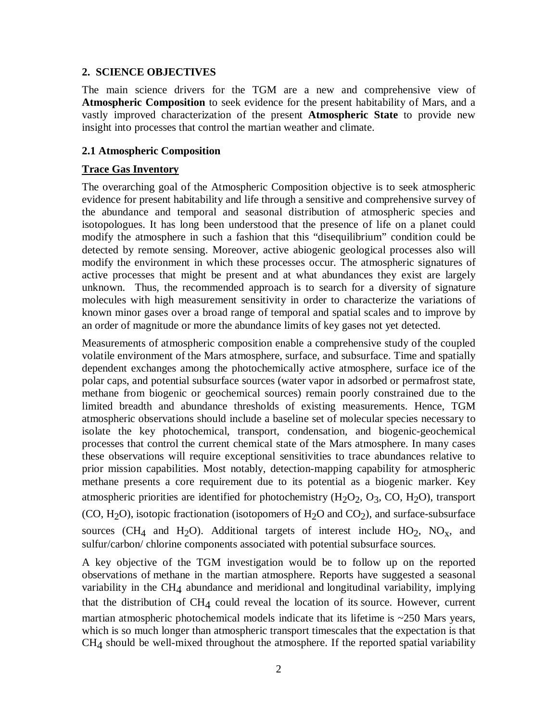#### **2. SCIENCE OBJECTIVES**

The main science drivers for the TGM are a new and comprehensive view of **Atmospheric Composition** to seek evidence for the present habitability of Mars, and a vastly improved characterization of the present **Atmospheric State** to provide new insight into processes that control the martian weather and climate.

#### **2.1 Atmospheric Composition**

## **Trace Gas Inventory**

The overarching goal of the Atmospheric Composition objective is to seek atmospheric evidence for present habitability and life through a sensitive and comprehensive survey of the abundance and temporal and seasonal distribution of atmospheric species and isotopologues. It has long been understood that the presence of life on a planet could modify the atmosphere in such a fashion that this "disequilibrium" condition could be detected by remote sensing. Moreover, active abiogenic geological processes also will modify the environment in which these processes occur. The atmospheric signatures of active processes that might be present and at what abundances they exist are largely unknown. Thus, the recommended approach is to search for a diversity of signature molecules with high measurement sensitivity in order to characterize the variations of known minor gases over a broad range of temporal and spatial scales and to improve by an order of magnitude or more the abundance limits of key gases not yet detected.

Measurements of atmospheric composition enable a comprehensive study of the coupled volatile environment of the Mars atmosphere, surface, and subsurface. Time and spatially dependent exchanges among the photochemically active atmosphere, surface ice of the polar caps, and potential subsurface sources (water vapor in adsorbed or permafrost state, methane from biogenic or geochemical sources) remain poorly constrained due to the limited breadth and abundance thresholds of existing measurements. Hence, TGM atmospheric observations should include a baseline set of molecular species necessary to isolate the key photochemical, transport, condensation, and biogenic-geochemical processes that control the current chemical state of the Mars atmosphere. In many cases these observations will require exceptional sensitivities to trace abundances relative to prior mission capabilities. Most notably, detection-mapping capability for atmospheric methane presents a core requirement due to its potential as a biogenic marker. Key atmospheric priorities are identified for photochemistry  $(H<sub>2</sub>O<sub>2</sub>, O<sub>3</sub>, CO, H<sub>2</sub>O)$ , transport (CO, H<sub>2</sub>O), isotopic fractionation (isotopomers of H<sub>2</sub>O and CO<sub>2</sub>), and surface-subsurface sources (CH<sub>4</sub> and H<sub>2</sub>O). Additional targets of interest include HO<sub>2</sub>, NO<sub>x</sub>, and sulfur/carbon/ chlorine components associated with potential subsurface sources.

A key objective of the TGM investigation would be to follow up on the reported observations of methane in the martian atmosphere. Reports have suggested a seasonal variability in the CH4 abundance and meridional and longitudinal variability, implying that the distribution of  $CH_4$  could reveal the location of its source. However, current martian atmospheric photochemical models indicate that its lifetime is  $\sim$ 250 Mars years, which is so much longer than atmospheric transport timescales that the expectation is that CH4 should be well-mixed throughout the atmosphere. If the reported spatial variability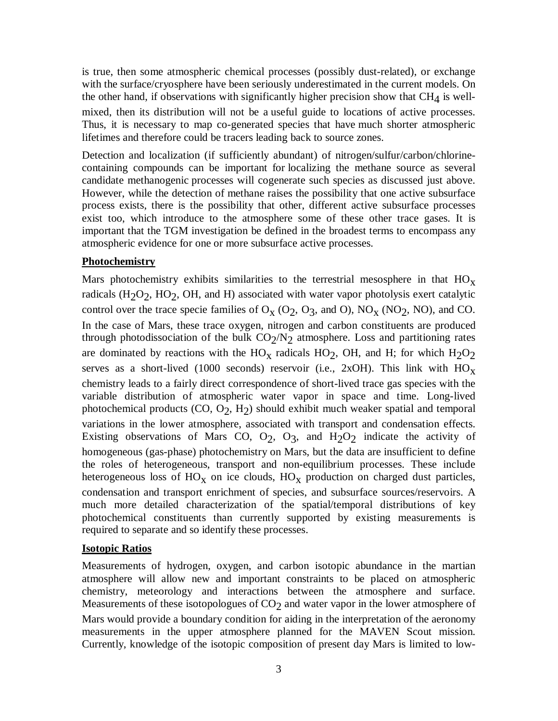is true, then some atmospheric chemical processes (possibly dust-related), or exchange with the surface/cryosphere have been seriously underestimated in the current models. On the other hand, if observations with significantly higher precision show that  $CH<sub>4</sub>$  is wellmixed, then its distribution will not be a useful guide to locations of active processes. Thus, it is necessary to map co-generated species that have much shorter atmospheric lifetimes and therefore could be tracers leading back to source zones.

Detection and localization (if sufficiently abundant) of nitrogen/sulfur/carbon/chlorinecontaining compounds can be important for localizing the methane source as several candidate methanogenic processes will cogenerate such species as discussed just above. However, while the detection of methane raises the possibility that one active subsurface process exists, there is the possibility that other, different active subsurface processes exist too, which introduce to the atmosphere some of these other trace gases. It is important that the TGM investigation be defined in the broadest terms to encompass any atmospheric evidence for one or more subsurface active processes.

#### **Photochemistry**

Mars photochemistry exhibits similarities to the terrestrial mesosphere in that  $HO<sub>x</sub>$ radicals (H<sub>2</sub>O<sub>2</sub>, HO<sub>2</sub>, OH, and H) associated with water vapor photolysis exert catalytic control over the trace specie families of  $O_X (O_2, O_3, and O)$ ,  $NO_X (NO_2, NO)$ , and CO. In the case of Mars, these trace oxygen, nitrogen and carbon constituents are produced through photodissociation of the bulk  $CO_2/N_2$  atmosphere. Loss and partitioning rates are dominated by reactions with the  $HO<sub>x</sub>$  radicals  $HO<sub>2</sub>$ , OH, and H; for which  $H<sub>2</sub>O<sub>2</sub>$ serves as a short-lived (1000 seconds) reservoir (i.e., 2xOH). This link with  $HO_x$ chemistry leads to a fairly direct correspondence of short-lived trace gas species with the variable distribution of atmospheric water vapor in space and time. Long-lived photochemical products (CO, O<sub>2</sub>, H<sub>2</sub>) should exhibit much weaker spatial and temporal variations in the lower atmosphere, associated with transport and condensation effects. Existing observations of Mars CO,  $O_2$ ,  $O_3$ , and  $H_2O_2$  indicate the activity of homogeneous (gas-phase) photochemistry on Mars, but the data are insufficient to define the roles of heterogeneous, transport and non-equilibrium processes. These include heterogeneous loss of  $HO_X$  on ice clouds,  $HO_X$  production on charged dust particles, condensation and transport enrichment of species, and subsurface sources/reservoirs. A much more detailed characterization of the spatial/temporal distributions of key photochemical constituents than currently supported by existing measurements is required to separate and so identify these processes.

# **Isotopic Ratios**

Measurements of hydrogen, oxygen, and carbon isotopic abundance in the martian atmosphere will allow new and important constraints to be placed on atmospheric chemistry, meteorology and interactions between the atmosphere and surface. Measurements of these isotopologues of  $CO<sub>2</sub>$  and water vapor in the lower atmosphere of Mars would provide a boundary condition for aiding in the interpretation of the aeronomy measurements in the upper atmosphere planned for the MAVEN Scout mission. Currently, knowledge of the isotopic composition of present day Mars is limited to low-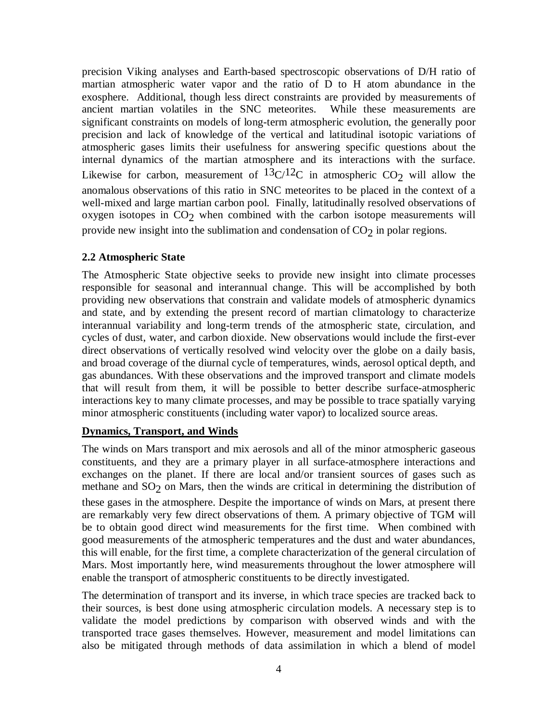precision Viking analyses and Earth-based spectroscopic observations of D/H ratio of martian atmospheric water vapor and the ratio of D to H atom abundance in the exosphere. Additional, though less direct constraints are provided by measurements of ancient martian volatiles in the SNC meteorites. While these measurements are significant constraints on models of long-term atmospheric evolution, the generally poor precision and lack of knowledge of the vertical and latitudinal isotopic variations of atmospheric gases limits their usefulness for answering specific questions about the internal dynamics of the martian atmosphere and its interactions with the surface. Likewise for carbon, measurement of  $13C/12C$  in atmospheric CO<sub>2</sub> will allow the anomalous observations of this ratio in SNC meteorites to be placed in the context of a well-mixed and large martian carbon pool. Finally, latitudinally resolved observations of oxygen isotopes in  $CO<sub>2</sub>$  when combined with the carbon isotope measurements will provide new insight into the sublimation and condensation of  $CO<sub>2</sub>$  in polar regions.

## **2.2 Atmospheric State**

The Atmospheric State objective seeks to provide new insight into climate processes responsible for seasonal and interannual change. This will be accomplished by both providing new observations that constrain and validate models of atmospheric dynamics and state, and by extending the present record of martian climatology to characterize interannual variability and long-term trends of the atmospheric state, circulation, and cycles of dust, water, and carbon dioxide. New observations would include the first-ever direct observations of vertically resolved wind velocity over the globe on a daily basis, and broad coverage of the diurnal cycle of temperatures, winds, aerosol optical depth, and gas abundances. With these observations and the improved transport and climate models that will result from them, it will be possible to better describe surface-atmospheric interactions key to many climate processes, and may be possible to trace spatially varying minor atmospheric constituents (including water vapor) to localized source areas.

#### **Dynamics, Transport, and Winds**

The winds on Mars transport and mix aerosols and all of the minor atmospheric gaseous constituents, and they are a primary player in all surface-atmosphere interactions and exchanges on the planet. If there are local and/or transient sources of gases such as methane and  $SO_2$  on Mars, then the winds are critical in determining the distribution of these gases in the atmosphere. Despite the importance of winds on Mars, at present there are remarkably very few direct observations of them. A primary objective of TGM will be to obtain good direct wind measurements for the first time. When combined with good measurements of the atmospheric temperatures and the dust and water abundances, this will enable, for the first time, a complete characterization of the general circulation of Mars. Most importantly here, wind measurements throughout the lower atmosphere will enable the transport of atmospheric constituents to be directly investigated.

The determination of transport and its inverse, in which trace species are tracked back to their sources, is best done using atmospheric circulation models. A necessary step is to validate the model predictions by comparison with observed winds and with the transported trace gases themselves. However, measurement and model limitations can also be mitigated through methods of data assimilation in which a blend of model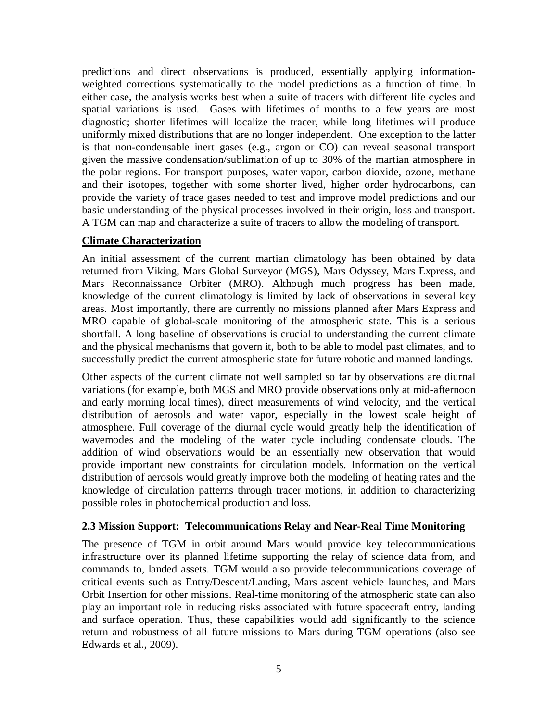predictions and direct observations is produced, essentially applying informationweighted corrections systematically to the model predictions as a function of time. In either case, the analysis works best when a suite of tracers with different life cycles and spatial variations is used. Gases with lifetimes of months to a few years are most diagnostic; shorter lifetimes will localize the tracer, while long lifetimes will produce uniformly mixed distributions that are no longer independent. One exception to the latter is that non-condensable inert gases (e.g., argon or CO) can reveal seasonal transport given the massive condensation/sublimation of up to 30% of the martian atmosphere in the polar regions. For transport purposes, water vapor, carbon dioxide, ozone, methane and their isotopes, together with some shorter lived, higher order hydrocarbons, can provide the variety of trace gases needed to test and improve model predictions and our basic understanding of the physical processes involved in their origin, loss and transport. A TGM can map and characterize a suite of tracers to allow the modeling of transport.

#### **Climate Characterization**

An initial assessment of the current martian climatology has been obtained by data returned from Viking, Mars Global Surveyor (MGS), Mars Odyssey, Mars Express, and Mars Reconnaissance Orbiter (MRO). Although much progress has been made, knowledge of the current climatology is limited by lack of observations in several key areas. Most importantly, there are currently no missions planned after Mars Express and MRO capable of global-scale monitoring of the atmospheric state. This is a serious shortfall. A long baseline of observations is crucial to understanding the current climate and the physical mechanisms that govern it, both to be able to model past climates, and to successfully predict the current atmospheric state for future robotic and manned landings.

Other aspects of the current climate not well sampled so far by observations are diurnal variations (for example, both MGS and MRO provide observations only at mid-afternoon and early morning local times), direct measurements of wind velocity, and the vertical distribution of aerosols and water vapor, especially in the lowest scale height of atmosphere. Full coverage of the diurnal cycle would greatly help the identification of wavemodes and the modeling of the water cycle including condensate clouds. The addition of wind observations would be an essentially new observation that would provide important new constraints for circulation models. Information on the vertical distribution of aerosols would greatly improve both the modeling of heating rates and the knowledge of circulation patterns through tracer motions, in addition to characterizing possible roles in photochemical production and loss.

#### **2.3 Mission Support: Telecommunications Relay and Near-Real Time Monitoring**

The presence of TGM in orbit around Mars would provide key telecommunications infrastructure over its planned lifetime supporting the relay of science data from, and commands to, landed assets. TGM would also provide telecommunications coverage of critical events such as Entry/Descent/Landing, Mars ascent vehicle launches, and Mars Orbit Insertion for other missions. Real-time monitoring of the atmospheric state can also play an important role in reducing risks associated with future spacecraft entry, landing and surface operation. Thus, these capabilities would add significantly to the science return and robustness of all future missions to Mars during TGM operations (also see Edwards et al., 2009).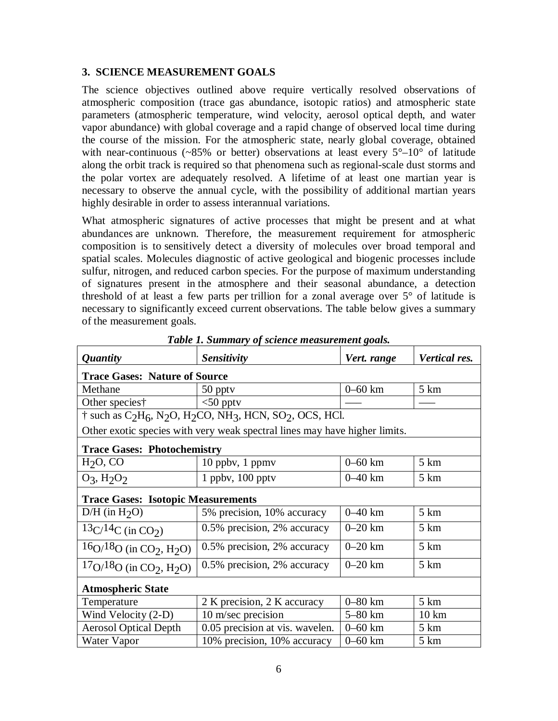## **3. SCIENCE MEASUREMENT GOALS**

The science objectives outlined above require vertically resolved observations of atmospheric composition (trace gas abundance, isotopic ratios) and atmospheric state parameters (atmospheric temperature, wind velocity, aerosol optical depth, and water vapor abundance) with global coverage and a rapid change of observed local time during the course of the mission. For the atmospheric state, nearly global coverage, obtained with near-continuous ( $\sim 85\%$  or better) observations at least every  $5^{\circ}-10^{\circ}$  of latitude along the orbit track is required so that phenomena such as regional-scale dust storms and the polar vortex are adequately resolved. A lifetime of at least one martian year is necessary to observe the annual cycle, with the possibility of additional martian years highly desirable in order to assess interannual variations.

What atmospheric signatures of active processes that might be present and at what abundances are unknown. Therefore, the measurement requirement for atmospheric composition is to sensitively detect a diversity of molecules over broad temporal and spatial scales. Molecules diagnostic of active geological and biogenic processes include sulfur, nitrogen, and reduced carbon species. For the purpose of maximum understanding of signatures present in the atmosphere and their seasonal abundance, a detection threshold of at least a few parts per trillion for a zonal average over  $5^{\circ}$  of latitude is necessary to significantly exceed current observations. The table below gives a summary of the measurement goals.

| <i><b>Quantity</b></i>                                                                                                                    | <b>Sensitivity</b>              | Vert. range | Vertical res.   |
|-------------------------------------------------------------------------------------------------------------------------------------------|---------------------------------|-------------|-----------------|
| <b>Trace Gases: Nature of Source</b>                                                                                                      |                                 |             |                 |
| Methane                                                                                                                                   | 50 pptv                         | $0 - 60$ km | $5 \mathrm{km}$ |
| Other species†                                                                                                                            | $<$ 50 pptv                     |             |                 |
| $\dagger$ such as C <sub>2</sub> H <sub>6</sub> , N <sub>2</sub> O, H <sub>2</sub> CO, NH <sub>3</sub> , HCN, SO <sub>2</sub> , OCS, HCl. |                                 |             |                 |
| Other exotic species with very weak spectral lines may have higher limits.                                                                |                                 |             |                 |
| <b>Trace Gases: Photochemistry</b>                                                                                                        |                                 |             |                 |
| $H2O$ , CO                                                                                                                                | $10$ ppby, 1 ppmy               | $0 - 60$ km | $5 \mathrm{km}$ |
| $O_3$ , $H_2O_2$                                                                                                                          | $1$ ppbv, $100$ pptv            | $0 - 40$ km | $5 \mathrm{km}$ |
| <b>Trace Gases: Isotopic Measurements</b>                                                                                                 |                                 |             |                 |
| $D/H$ (in $H_2O$ )                                                                                                                        | 5% precision, 10% accuracy      | $0 - 40$ km | $5 \mathrm{km}$ |
| $13C/14C$ (in CO <sub>2</sub> )                                                                                                           | 0.5% precision, 2% accuracy     | $0 - 20$ km | 5 km            |
| $16Q/18Q$ (in CO <sub>2</sub> , H <sub>2</sub> O)                                                                                         | 0.5% precision, 2% accuracy     | $0 - 20$ km | $5 \mathrm{km}$ |
| $17Q/18Q$ (in CO <sub>2</sub> , H <sub>2</sub> O)                                                                                         | 0.5% precision, 2% accuracy     | $0 - 20$ km | 5 km            |
| <b>Atmospheric State</b>                                                                                                                  |                                 |             |                 |
| Temperature                                                                                                                               | 2 K precision, 2 K accuracy     | $0-80$ km   | $5 \mathrm{km}$ |
| Wind Velocity (2-D)                                                                                                                       | 10 m/sec precision              | $5-80$ km   | $10 \text{ km}$ |
| <b>Aerosol Optical Depth</b>                                                                                                              | 0.05 precision at vis. wavelen. | $0 - 60$ km | $5 \mathrm{km}$ |
| Water Vapor                                                                                                                               | 10% precision, 10% accuracy     | $0 - 60$ km | $5 \mathrm{km}$ |

*Table 1. Summary of science measurement goals.*